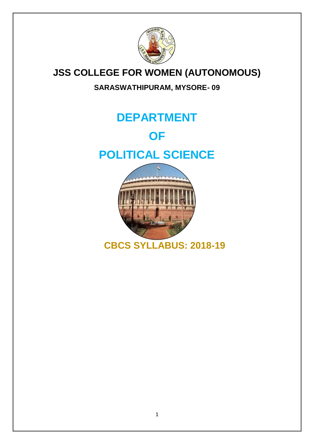

# **JSS COLLEGE FOR WOMEN (AUTONOMOUS)**

## **SARASWATHIPURAM, MYSORE- 09**

# **DEPARTMENT**

# **OF**

# **POLITICAL SCIENCE**



 **CBCS SYLLABUS: 2018-19**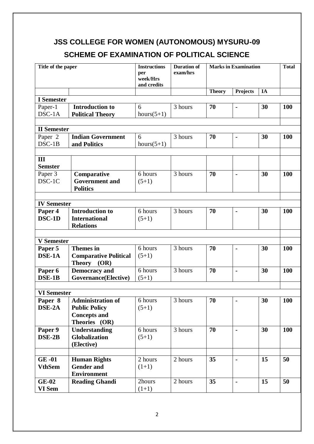## **JSS COLLEGE FOR WOMEN (AUTONOMOUS) MYSURU-09**

## **SCHEME OF EXAMINATION OF POLITICAL SCIENCE**

| Title of the paper  |                                      | <b>Instructions</b> | <b>Duration of</b> |               | <b>Marks in Examination</b> |    | <b>Total</b> |
|---------------------|--------------------------------------|---------------------|--------------------|---------------|-----------------------------|----|--------------|
|                     |                                      | per<br>week/Hrs     | exam/hrs           |               |                             |    |              |
|                     |                                      | and credits         |                    | <b>Theory</b> | <b>Projects</b>             | IA |              |
| <b>I</b> Semester   |                                      |                     |                    |               |                             |    |              |
| Paper-1             | <b>Introduction to</b>               | 6                   | 3 hours            | 70            | $\blacksquare$              | 30 | <b>100</b>   |
| $DSC-1A$            | <b>Political Theory</b>              | $hours(5+1)$        |                    |               |                             |    |              |
|                     |                                      |                     |                    |               |                             |    |              |
| <b>II</b> Semester  |                                      |                     |                    |               |                             |    |              |
| Paper <sub>2</sub>  | <b>Indian Government</b>             | 6                   | 3 hours            | 70            | $\blacksquare$              | 30 | 100          |
| DSC-1B              | and Politics                         | $hours(5+1)$        |                    |               |                             |    |              |
|                     |                                      |                     |                    |               |                             |    |              |
| Ш<br><b>Semster</b> |                                      |                     |                    |               |                             |    |              |
| Paper 3             | Comparative                          | 6 hours             | 3 hours            | 70            | ä,                          | 30 | <b>100</b>   |
| DSC-1C              | <b>Government</b> and                | $(5+1)$             |                    |               |                             |    |              |
|                     | <b>Politics</b>                      |                     |                    |               |                             |    |              |
|                     |                                      |                     |                    |               |                             |    |              |
| <b>IV Semester</b>  |                                      |                     |                    |               |                             |    |              |
| Paper 4             | <b>Introduction to</b>               | 6 hours             | 3 hours            | 70            | $\blacksquare$              | 30 | 100          |
| DSC-1D              | <b>International</b>                 | $(5+1)$             |                    |               |                             |    |              |
|                     | <b>Relations</b>                     |                     |                    |               |                             |    |              |
|                     |                                      |                     |                    |               |                             |    |              |
| <b>V</b> Semester   |                                      |                     |                    |               |                             |    |              |
| Paper 5             | <b>Themes</b> in                     | 6 hours             | 3 hours            | 70            | $\blacksquare$              | 30 | <b>100</b>   |
| DSE-1A              | <b>Comparative Political</b>         | $(5+1)$             |                    |               |                             |    |              |
|                     | <b>Theory</b><br>(OR)                |                     |                    |               |                             |    |              |
| Paper 6             | <b>Democracy</b> and                 | 6 hours             | 3 hours            | 70            | $\blacksquare$              | 30 | <b>100</b>   |
| DSE-1B              | <b>Governance</b> (Elective)         | $(5+1)$             |                    |               |                             |    |              |
|                     |                                      |                     |                    |               |                             |    |              |
| <b>VI Semester</b>  |                                      |                     |                    |               |                             |    |              |
| Paper 8             | <b>Administration of</b>             | 6 hours             | 3 hours            | 70            |                             | 30 | <b>100</b>   |
| DSE-2A              | <b>Public Policy</b>                 | $(5+1)$             |                    |               |                             |    |              |
|                     | <b>Concepts and</b><br>Theories (OR) |                     |                    |               |                             |    |              |
| Paper 9             | <b>Understanding</b>                 | 6 hours             | 3 hours            | 70            | ä,                          | 30 | 100          |
| DSE-2B              | <b>Globalization</b>                 | $(5+1)$             |                    |               |                             |    |              |
|                     | (Elective)                           |                     |                    |               |                             |    |              |
|                     |                                      |                     |                    |               |                             |    |              |
| $GE-01$             | <b>Human Rights</b>                  | 2 hours             | 2 hours            | 35            | $\blacksquare$              | 15 | 50           |
| <b>VthSem</b>       | <b>Gender and</b>                    | $(1+1)$             |                    |               |                             |    |              |
|                     | <b>Environment</b>                   |                     |                    |               |                             |    |              |
| <b>GE-02</b>        | <b>Reading Ghandi</b>                | 2hours              | 2 hours            | 35            | $\blacksquare$              | 15 | 50           |
| VI Sem              |                                      | $(1+1)$             |                    |               |                             |    |              |
|                     |                                      |                     |                    |               |                             |    |              |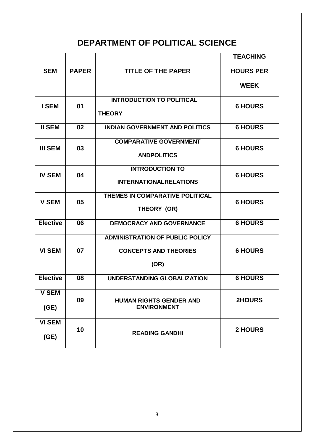# **DEPARTMENT OF POLITICAL SCIENCE**

|                 |              |                                                      | <b>TEACHING</b>  |  |
|-----------------|--------------|------------------------------------------------------|------------------|--|
| <b>SEM</b>      | <b>PAPER</b> | <b>TITLE OF THE PAPER</b>                            | <b>HOURS PER</b> |  |
|                 |              |                                                      | <b>WEEK</b>      |  |
| <b>I SEM</b>    | 01           | <b>INTRODUCTION TO POLITICAL</b>                     | <b>6 HOURS</b>   |  |
|                 |              | <b>THEORY</b>                                        |                  |  |
| <b>II SEM</b>   | 02           | <b>INDIAN GOVERNMENT AND POLITICS</b>                | <b>6 HOURS</b>   |  |
| <b>III SEM</b>  | 03           | <b>COMPARATIVE GOVERNMENT</b>                        | <b>6 HOURS</b>   |  |
|                 |              | <b>ANDPOLITICS</b>                                   |                  |  |
| <b>IV SEM</b>   |              | <b>INTRODUCTION TO</b>                               |                  |  |
|                 | 04           | <b>INTERNATIONALRELATIONS</b>                        | <b>6 HOURS</b>   |  |
| <b>V SEM</b>    | 05           | THEMES IN COMPARATIVE POLITICAL                      | <b>6 HOURS</b>   |  |
|                 |              | THEORY (OR)                                          |                  |  |
| <b>Elective</b> | 06           | <b>DEMOCRACY AND GOVERNANCE</b>                      | <b>6 HOURS</b>   |  |
|                 |              | <b>ADMINISTRATION OF PUBLIC POLICY</b>               |                  |  |
| <b>VI SEM</b>   | 07           | <b>CONCEPTS AND THEORIES</b>                         | <b>6 HOURS</b>   |  |
|                 |              | (OR)                                                 |                  |  |
| <b>Elective</b> | 08           | UNDERSTANDING GLOBALIZATION                          | <b>6 HOURS</b>   |  |
| <b>V SEM</b>    |              |                                                      |                  |  |
| (GE)            | 09           | <b>HUMAN RIGHTS GENDER AND</b><br><b>ENVIRONMENT</b> | 2HOURS           |  |
| <b>VI SEM</b>   |              |                                                      |                  |  |
| (GE)            | 10           | <b>READING GANDHI</b>                                | <b>2 HOURS</b>   |  |
|                 |              |                                                      |                  |  |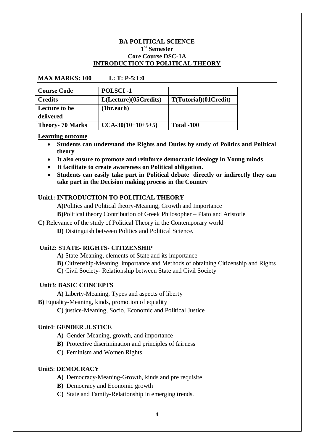#### **BA POLITICAL SCIENCE 1 st Semester Core Course DSC-1A INTRODUCTION TO POLITICAL THEORY**

| <b>Course Code</b>     | <b>POLSCI-1</b>       |                       |
|------------------------|-----------------------|-----------------------|
| <b>Credits</b>         | L(Lecture)(05Credits) | T(Tutorial)(01Credit) |
| Lecture to be          | (1hr.each)            |                       |
| delivered              |                       |                       |
| <b>Theory-70 Marks</b> | $CCA-30(10+10+5+5)$   | <b>Total -100</b>     |

#### **MAX MARKS: 100 L: T: P-5:1:0**

#### **Learning outcome**

- **Students can understand the Rights and Duties by study of Politics and Political theory**
- **It also ensure to promote and reinforce democratic ideology in Young minds**
- **It facilitate to create awareness on Political obligation.**
- **Students can easily take part in Political debate directly or indirectly they can take part in the Decision making process in the Country**

#### **Unit1: INTRODUCTION TO POLITICAL THEORY**

**A)**Politics and Political theory-Meaning, Growth and Importance

**B)**Political theory Contribution of Greek Philosopher – Plato and Aristotle

**C)** Relevance of the study of Political Theory in the Contemporary world

**D)** Distinguish between Politics and Political Science.

#### **Unit2: STATE- RIGHTS- CITIZENSHIP**

**A)** State-Meaning, elements of State and its importance

**B)** Citizenship-Meaning, importance and Methods of obtaining Citizenship and Rights

**C)** Civil Society- Relationship between State and Civil Society

#### **Unit3**: **BASIC CONCEPTS**

**A)** Liberty-Meaning, Types and aspects of liberty

**B)** Equality-Meaning, kinds, promotion of equality

**C)** justice-Meaning, Socio, Economic and Political Justice

#### **Unit4**: **GENDER JUSTICE**

**A)** Gender-Meaning, growth, and importance

- **B)** Protective discrimination and principles of fairness
- **C)** Feminism and Women Rights.

#### **Unit5**: **DEMOCRACY**

- **A)** Democracy-Meaning-Growth, kinds and pre requisite
- **B)** Democracy and Economic growth
- **C)** State and Family-Relationship in emerging trends.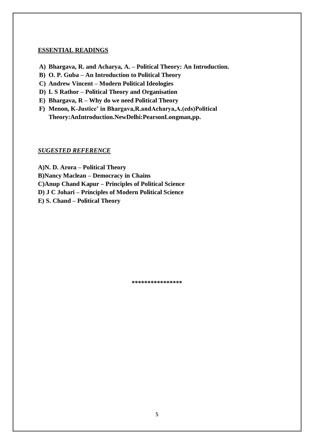- **A) Bhargava, R. and Acharya, A. – Political Theory: An Introduction.**
- **B) O. P. Guba – An Introduction to Political Theory**
- **C) Andrew Vincent – Modern Political Ideologies**
- **D) L S Rathor – Political Theory and Organisation**
- **E) Bhargava, R – Why do we need Political Theory**
- **F) Menon, K-Justice' in Bhargava,R.andAcharya,A.(eds)Political Theory:AnIntroduction.NewDelhi:PearsonLongman,pp.**

#### *SUGESTED REFERENCE*

**A)N. D. Arora – Political Theory B)Nancy Maclean – Democracy in Chains C)Anup Chand Kapur – Principles of Political Science D) J C Johari – Principles of Modern Political Science E) S. Chand – Political Theory**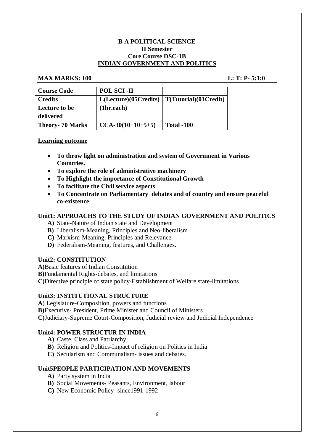#### **B A POLITICAL SCIENCE II Semester Core Course DSC-1B INDIAN GOVERNMENT AND POLITICS**

#### **MAX MARKS: 100 L: T: P- 5:1:0**

| <b>Course Code</b>     | <b>POL SCI-II</b>     |                              |
|------------------------|-----------------------|------------------------------|
| <b>Credits</b>         | L(Lecture)(05Credits) | $\mid T(Tutorial)(01Credit)$ |
| Lecture to be          | (1hr.each)            |                              |
| delivered              |                       |                              |
| <b>Theory-70 Marks</b> | $CCA-30(10+10+5+5)$   | <b>Total -100</b>            |

#### **Learning outcome**

- **To throw light on administration and system of Government in Various Countries.**
- **To explore the role of administrative machinery**
- **To Highlight the importance of Constitutional Growth**
- **To facilitate the Civil service aspects**
- **To Concentrate on Parliamentary debates and of country and ensure peaceful co-existence**

#### **Unit1: APPROACHS TO THE STUDY OF INDIAN GOVERNMENT AND POLITICS**

- **A)** State-Nature of Indian state and Development
- **B)** Liberalism-Meaning, Principles and Neo-liberalism
- **C)** Marxism-Meaning, Principles and Relevance
- **D)** Federalism-Meaning, features, and Challenges.

#### **Unit2: CONSTITUTION**

**A)**Basic features of Indian Constitution

**B)**Fundamental Rights-debates, and limitations

**C)**Directive principle of state policy-Establishment of Welfare state-limitations

#### **Unit3: INSTITUTIONAL STRUCTURE**

**A**) Legislature-Composition, powers and functions

**B)**Executive- President, Prime Minister and Council of Ministers

**C)**Judiciary-Supreme Court-Composition, Judicial review and Judicial Independence

#### **Unit4: POWER STRUCTUR IN INDIA**

- **A)** Caste, Class and Patriarchy
- **B)** Religion and Politics-Impact of religion on Politics in India
- **C)** Secularism and Communalism- issues and debates.

#### **Unit5PEOPLE PARTICIPATION AND MOVEMENTS**

- **A)** Party system in India
- **B)** Social Movements- Peasants, Environment, labour
- **C)** New Economic Policy- since1991-1992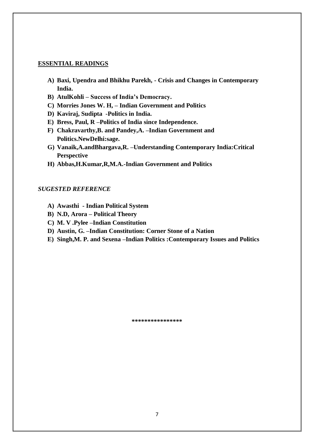- **A) Baxi, Upendra and Bhikhu Parekh, - Crisis and Changes in Contemporary India.**
- **B) AtulKohli – Success of India's Democracy.**
- **C) Morries Jones W. H, – Indian Government and Politics**
- **D) Kaviraj, Sudipta -Politics in India.**
- **E) Bress, Paul, R –Politics of India since Independence.**
- **F) Chakravarthy,B. and Pandey,A. –Indian Government and Politics.NewDelhi:sage.**
- **G) Vanaik,A.andBhargava,R. –Understanding Contemporary India:Critical Perspective**
- **H) Abbas,H.Kumar,R,M.A.-Indian Government and Politics**

#### *SUGESTED REFERENCE*

- **A) Awasthi - Indian Political System**
- **B) N.D, Arora – Political Theory**
- **C) M. V .Pylee –Indian Constitution**
- **D) Austin, G. –Indian Constitution: Corner Stone of a Nation**
- **E) Singh,M. P. and Sexena –Indian Politics :Contemporary Issues and Politics**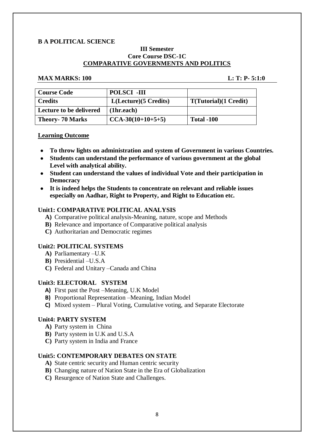#### **B A POLITICAL SCIENCE**

#### **III Semester Core Course DSC-1C COMPARATIVE GOVERNMENTS AND POLITICS**

#### **MAX MARKS: 100 L: T: P- 5:1:0**

| <b>Course Code</b>      | <b>POLSCI -III</b>      |                               |
|-------------------------|-------------------------|-------------------------------|
| <b>Credits</b>          | $L(Leture)$ (5 Credits) | <b>T</b> (Tutorial)(1 Credit) |
| Lecture to be delivered | (1hr.each)              |                               |
| <b>Theory- 70 Marks</b> | $CCA-30(10+10+5+5)$     | <b>Total -100</b>             |

#### **Learning Outcome**

- **To throw lights on administration and system of Government in various Countries.**
- **Students can understand the performance of various government at the global Level with analytical ability.**
- **Student can understand the values of individual Vote and their participation in Democracy**
- **It is indeed helps the Students to concentrate on relevant and reliable issues especially on Aadhar, Right to Property, and Right to Education etc.**

#### **Unit1: COMPARATIVE POLITICAL ANALYSIS**

- **A)** Comparative political analysis-Meaning, nature, scope and Methods
- **B)** Relevance and importance of Comparative political analysis
- **C)** Authoritarian and Democratic regimes

#### **Unit2: POLITICAL SYSTEMS**

- **A)** Parliamentary –U.K
- **B)** Presidential –U.S.A
- **C)** Federal and Unitary –Canada and China

#### **Unit3: ELECTORAL SYSTEM**

- **A)** First past the Post –Meaning, U.K Model
- **B)** Proportional Representation –Meaning, Indian Model
- **C)** Mixed system Plural Voting, Cumulative voting, and Separate Electorate

#### **Unit4: PARTY SYSTEM**

- **A)** Party system in China
- **B)** Party system in U.K and U.S.A
- **C)** Party system in India and France

#### **Unit5: CONTEMPORARY DEBATES ON STATE**

- **A)** State centric security and Human centric security
- **B)** Changing nature of Nation State in the Era of Globalization
- **C)** Resurgence of Nation State and Challenges.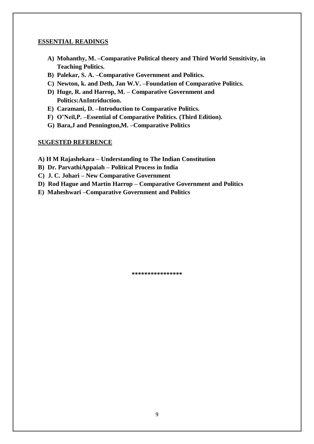- **A) Mohanthy, M. –Comparative Political theory and Third World Sensitivity, in Teaching Politics.**
- **B) Palekar, S. A. –Comparative Government and Politics.**
- **C) Newton, k. and Deth, Jan W.V. –Foundation of Comparative Politics.**
- **D) Huge, R. and Harrop, M. – Comparative Government and Politics:AnIntriduction.**
- **E) Caramani, D. –Introduction to Comparative Politics.**
- **F) O'Neil,P. –Essential of Comparative Politics. (Third Edition).**
- **G) Bara,J and Pennington,M. –Comparative Politics**

#### **SUGESTED REFERENCE**

- **A) H M Rajashekara – Understanding to The Indian Constitution**
- **B) Dr. ParvathiAppaiah – Political Process in India**
- **C) J. C. Johari – New Comparative Government**
- **D) Rod Hague and Martin Harrop – Comparative Government and Politics**
- **E) Maheshwari –Comparative Government and Politics**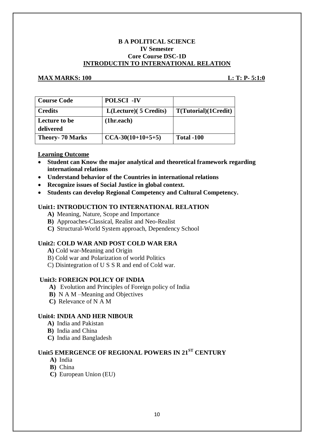#### **B A POLITICAL SCIENCE IV Semester Core Course DSC-1D INTRODUCTIN TO INTERNATIONAL RELATION**

#### **MAX MARKS:** 100 **L: T: P- 5:1:0**

| <b>Course Code</b>         | <b>POLSCI -IV</b>      |                      |
|----------------------------|------------------------|----------------------|
| <b>Credits</b>             | L(Lecture) (5 Credits) | T(Tutorial)(1Credit) |
| Lecture to be<br>delivered | (1hr.each)             |                      |
| <b>Theory-70 Marks</b>     | $CCA-30(10+10+5+5)$    | <b>Total -100</b>    |

#### **Learning Outcome**

- **Student can Know the major analytical and theoretical framework regarding international relations**
- **Understand behavior of the Countries in international relations**
- **Recognize issues of Social Justice in global context.**
- **Students can develop Regional Competency and Cultural Competency.**

#### **Unit1: INTRODUCTION TO INTERNATIONAL RELATION**

- **A)** Meaning, Nature, Scope and Importance
- **B)** Approaches-Classical, Realist and Neo-Realist
- **C)** Structural-World System approach, Dependency School

#### **Unit2: COLD WAR AND POST COLD WAR ERA**

- **A)** Cold war-Meaning and Origin
- B) Cold war and Polarization of world Politics
- C) Disintegration of U S S R and end of Cold war.

#### **Unit3: FOREIGN POLICY OF INDIA**

- **A)** Evolution and Principles of Foreign policy of India
- **B)** N A M –Meaning and Objectives
- **C)** Relevance of N A M

#### **Unit4: INDIA AND HER NIBOUR**

- **A)** India and Pakistan
- **B)** India and China
- **C)** India and Bangladesh

### **Unit5 EMERGENCE OF REGIONAL POWERS IN 21ST CENTURY**

- **A)** India
- **B)** China
- **C)** European Union (EU)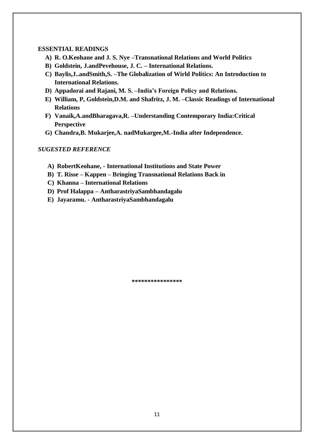- **A) R. O.Keohane and J. S. Nye –Transnational Relations and World Politics**
- **B) Goldstein, J.andPevehouse, J. C. – International Relations.**
- **C) Baylis,J..andSmith,S. –The Globalization of Wirld Politics: An Introduction to International Relations.**
- **D) Appadorai and Rajani, M. S. –India's Foreign Policy and Relations.**
- **E) William, P, Goldstein,D.M. and Shafritz, J. M. –Classic Readings of International Relations**
- **F) Vanaik,A.andBharagava,R. –Understanding Contemporary India:Critical Perspective**
- **G) Chandra,B. Mukarjee,A. nadMukargee,M.-India after Independence.**

#### *SUGESTED REFERENCE*

- **A) RobertKeohane, - International Institutions and State Power**
- **B) T. Risse – Kappen – Bringing Transnational Relations Back in**
- **C) Khanna – International Relations**
- **D) Prof Halappa – AntharastriyaSambhandagalu**
- **E) Jayaramu. - AntharastriyaSambhandagalu**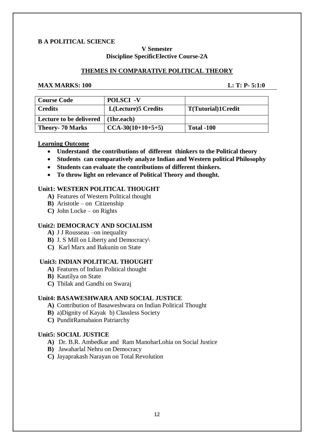#### **B A POLITICAL SCIENCE**

#### **V Semester Discipline SpecificElective Course-2A**

#### **THEMES IN COMPARATIVE POLITICAL THEORY**

#### **MAX MARKS:** 100 **L: T: P- 5:1:0**

| <b>Course Code</b>      | <b>POLSCI</b> -V            |                            |
|-------------------------|-----------------------------|----------------------------|
| Credits                 | <b>L</b> (Lecture)5 Credits | <b>T</b> (Tutorial)1Credit |
| Lecture to be delivered | (1hr.each)                  |                            |
| <b>Theory- 70 Marks</b> | $CCA-30(10+10+5+5)$         | Total -100                 |

#### **Learning Outcome**

- **Understand the contributions of different thinkers to the Political theory**
- **Students can comparatively analyze Indian and Western political Philosophy**
- **Students can evaluate the contributions of different thinkers.**
- **To throw light on relevance of Political Theory and thought.**

#### **Unit1: WESTERN POLITICAL THOUGHT**

- **A)** Features of Western Political thought
- **B)** Aristotle on Citizenship
- **C)** John Locke on Rights

#### **Unit2: DEMOCRACY AND SOCIALISM**

- **A)** J J Rousseau –on inequality
- **B)** J. S Mill on Liberty and Democracy\
- **C)** Karl Marx and Bakunin on State

#### **Unit3: INDIAN POLITICAL THOUGHT**

- **A)** Features of Indian Political thought
- **B)** Kautilya on State
- **C)** Thilak and Gandhi on Swaraj

#### **Unit4: BASAWESHWARA AND SOCIAL JUSTICE**

- **A)** Contribution of Basaweshwara on Indian Political Thought
- **B)** a)Dignity of Kayak b) Classless Society
- **C)** PunditRamabaion Patriarchy

#### **Unit5: SOCIAL JUSTICE**

- **A)** Dr. B.R. Ambedkar and Ram ManoharLohia on Social Justice
- **B)** Jawaharlal Nehru on Democracy
- **C)** Jayaprakash Narayan on Total Revolution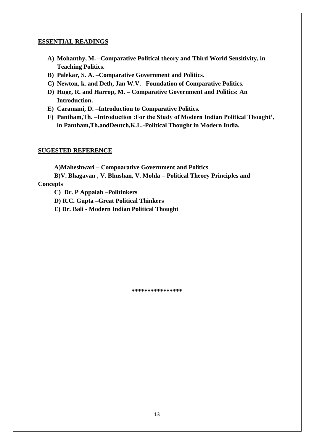- **A) Mohanthy, M. –Comparative Political theory and Third World Sensitivity, in Teaching Politics.**
- **B) Palekar, S. A. –Comparative Government and Politics.**
- **C) Newton, k. and Deth, Jan W.V. –Foundation of Comparative Politics.**
- **D) Huge, R. and Harrop, M. – Comparative Government and Politics: An Introduction.**
- **E) Caramani, D. –Introduction to Comparative Politics.**
- **F) Pantham,Th. –Introduction :For the Study of Modern Indian Political Thought', in Pantham,Th.andDeutch,K.L.-Political Thought in Modern India.**

#### **SUGESTED REFERENCE**

**A)Maheshwari – Compoarative Government and Politics**

**B)V. Bhagavan , V. Bhushan, V. Mohla – Political Theory Principles and Concepts**

**C) Dr. P Appaiah –Politinkers**

**D) R.C. Gupta –Great Political Thinkers**

**E) Dr. Bali - Modern Indian Political Thought**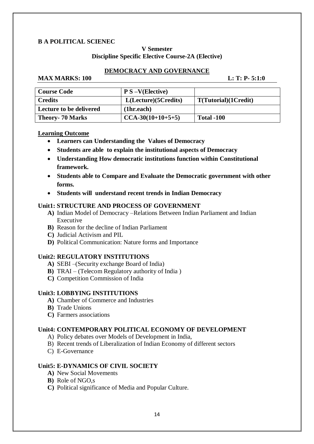#### **B A POLITICAL SCIENEC**

#### **V Semester Discipline Specific Elective Course-2A (Elective)**

#### **DEMOCRACY AND GOVERNANCE**

#### **MAX MARKS: 100 L: T: P- 5:1:0**

| <b>Course Code</b>      | $P S - V(Elective)$  |                      |
|-------------------------|----------------------|----------------------|
| Credits                 | L(Lecture)(5Credits) | T(Tutorial)(1Credit) |
| Lecture to be delivered | (1hr.each)           |                      |
| <b>Theory- 70 Marks</b> | $CCA-30(10+10+5+5)$  | <b>Total -100</b>    |

#### **Learning Outcome**

- **Learners can Understanding the Values of Democracy**
- **Students are able to explain the institutional aspects of Democracy**
- **Understanding How democratic institutions function within Constitutional framework.**
- **Students able to Compare and Evaluate the Democratic government with other forms.**
- **Students will understand recent trends in Indian Democracy**

#### **Unit1: STRUCTURE AND PROCESS OF GOVERNMENT**

- **A)** Indian Model of Democracy –Relations Between Indian Parliament and Indian Executive
- **B)** Reason for the decline of Indian Parliament
- **C)** Judicial Activism and PIL
- **D)** Political Communication: Nature forms and Importance

#### **Unit2: REGULATORY INSTITUTIONS**

- **A)** SEBI –(Security exchange Board of India)
- **B)** TRAI (Telecom Regulatory authority of India )
- **C)** Competition Commission of India

#### **Unit3: LOBBYING INSTITUTIONS**

- **A)** Chamber of Commerce and Industries
- **B)** Trade Unions
- **C)** Farmers associations

#### **Unit4: CONTEMPORARY POLITICAL ECONOMY OF DEVELOPMENT**

- A) Policy debates over Models of Development in India,
- B) Recent trends of Liberalization of Indian Economy of different sectors
- C) E-Governance

#### **Unit5: E-DYNAMICS OF CIVIL SOCIETY**

- **A)** New Social Movements
- **B)** Role of NGO,s
- **C)** Political significance of Media and Popular Culture.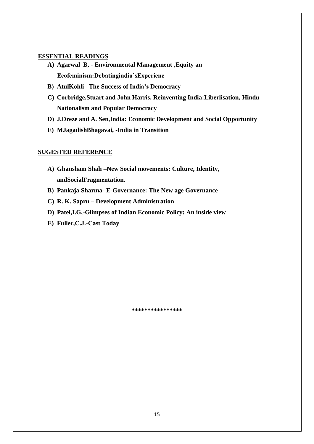- **A) Agarwal B, - Environmental Management ,Equity an Ecofeminism:Debatingindia'sExperiene**
- **B) AtulKohli –The Success of India's Democracy**
- **C) Corbridge,Stuart and John Harris, Reinventing India:Liberlisation, Hindu Nationalism and Popular Democracy**
- **D) J.Dreze and A. Sen,India: Economic Development and Social Opportunity**
- **E) MJagadishBhagavai, -India in Transition**

#### **SUGESTED REFERENCE**

- **A) Ghansham Shah –New Social movements: Culture, Identity, andSocialFragmentation.**
- **B) Pankaja Sharma- E-Governance: The New age Governance**
- **C) R. K. Sapru – Development Administration**
- **D) Patel,I.G,-Glimpses of Indian Economic Policy: An inside view**
- **E) Fuller,C.J.-Cast Today**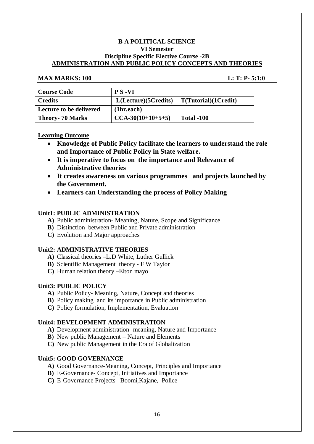#### **B A POLITICAL SCIENCE VI Semester Discipline Specific Elective Course -2B ADMINISTRATION AND PUBLIC POLICY CONCEPTS AND THEORIES**

#### **MAX MARKS: 100 L: T: P- 5:1:0**

| <b>Course Code</b>      | <b>PS-VI</b>         |                      |
|-------------------------|----------------------|----------------------|
| <b>Credits</b>          | L(Lecture)(5Credits) | T(Tutorial)(1Credit) |
| Lecture to be delivered | (1hr.each)           |                      |
| <b>Theory- 70 Marks</b> | $CCA-30(10+10+5+5)$  | Total -100           |

#### **Learning Outcome**

- **Knowledge of Public Policy facilitate the learners to understand the role and Importance of Public Policy in State welfare.**
- **It is imperative to focus on the importance and Relevance of Administrative theories**
- **It creates awareness on various programmes and projects launched by the Government.**
- **Learners can Understanding the process of Policy Making**

#### **Unit1: PUBLIC ADMINISTRATION**

- **A)** Public administration- Meaning, Nature, Scope and Significance
- **B)** Distinction between Public and Private administration
- **C)** Evolution and Major approaches

#### **Unit2: ADMINISTRATIVE THEORIES**

- **A)** Classical theories –L.D White, Luther Gullick
- **B)** Scientific Management theory F W Taylor
- **C)** Human relation theory –Elton mayo

#### **Unit3: PUBLIC POLICY**

- **A)** Public Policy- Meaning, Nature, Concept and theories
- **B)** Policy making and its importance in Public administration
- **C)** Policy formulation, Implementation, Evaluation

#### **Unit4: DEVELOPMENT ADMINISTRATION**

- **A)** Development administration- meaning, Nature and Importance
- **B)** New public Management Nature and Elements
- **C)** New public Management in the Era of Globalization

#### **Unit5: GOOD GOVERNANCE**

- **A)** Good Governance-Meaning, Concept, Principles and Importance
- **B)** E-Governance- Concept, Initiatives and Importance
- **C)** E-Governance Projects –Boomi,Kajane, Police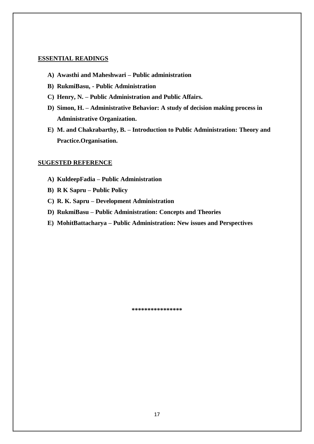- **A) Awasthi and Maheshwari – Public administration**
- **B) RukmiBasu, - Public Administration**
- **C) Henry, N. – Public Administration and Public Affairs.**
- **D) Simon, H. – Administrative Behavior: A study of decision making process in Administrative Organization.**
- **E) M. and Chakrabarthy, B. – Introduction to Public Administration: Theory and Practice.Organisation.**

#### **SUGESTED REFERENCE**

- **A) KuldeepFadia – Public Administration**
- **B) R K Sapru – Public Policy**
- **C) R. K. Sapru – Development Administration**
- **D) RukmiBasu – Public Administration: Concepts and Theories**
- **E) MohitBattacharya – Public Administration: New issues and Perspectives**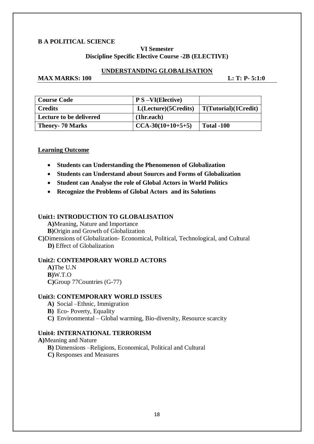#### **B A POLITICAL SCIENCE**

#### **VI Semester Discipline Specific Elective Course -2B (ELECTIVE)**

#### **UNDERSTANDING GLOBALISATION**

### **MAX MARKS: 100 L: T: P- 5:1:0**

| <b>Course Code</b>             | $\overline{P}$ S $-VI(Electric)$ |                      |
|--------------------------------|----------------------------------|----------------------|
| <b>Credits</b>                 | L(Lecture)(5Credits)             | T(Tutorial)(1Credit) |
| <b>Lecture to be delivered</b> | (1hr.each)                       |                      |
| <b>Theory- 70 Marks</b>        | $CCA-30(10+10+5+5)$              | <b>Total -100</b>    |

#### **Learning Outcome**

- **Students can Understanding the Phenomenon of Globalization**
- **Students can Understand about Sources and Forms of Globalization**
- **Student can Analyse the role of Global Actors in World Politics**
- **Recognize the Problems of Global Actors and its Solutions**

#### **Unit1: INTRODUCTION TO GLOBALISATION**

**A)**Meaning, Nature and Importance **B)**Origin and Growth of Globalization

**C)**Dimensions of Globalization- Economical, Political, Technological, and Cultural  **D)** Effect of Globalization

#### **Unit2: CONTEMPORARY WORLD ACTORS**

**A)**The U.N **B)**W.T.O **C)**Group 77Countries (G-77)

#### **Unit3: CONTEMPORARY WORLD ISSUES**

- **A)** Social –Ethnic, Immigration
- **B)** Eco- Poverty, Equality
- **C)** Environmental Global warming, Bio-diversity, Resource scarcity

#### **Unit4: INTERNATIONAL TERRORISM**

**A)**Meaning and Nature

- **B)** Dimensions –Religions, Economical, Political and Cultural
- **C)** Responses and Measures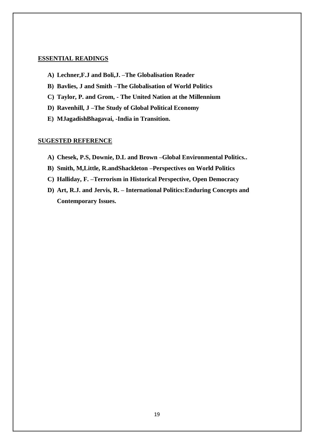- **A) Lechner,F.J and Boli,J. –The Globalisation Reader**
- **B) Bavlies, J and Smith –The Globalisation of World Politics**
- **C) Taylor, P. and Grom, - The United Nation at the Millennium**
- **D) Ravenhill, J –The Study of Global Political Economy**
- **E) MJagadishBhagavai, -India in Transition.**

#### **SUGESTED REFERENCE**

- **A) Chesek, P.S, Downie, D.L and Brown –Global Environmental Politics..**
- **B) Smith, M,Little, R.andShackleton –Perspectives on World Politics**
- **C) Halliday, F. –Terrorism in Historical Perspective, Open Democracy**
- **D) Art, R.J. and Jervis, R. – International Politics:Enduring Concepts and Contemporary Issues.**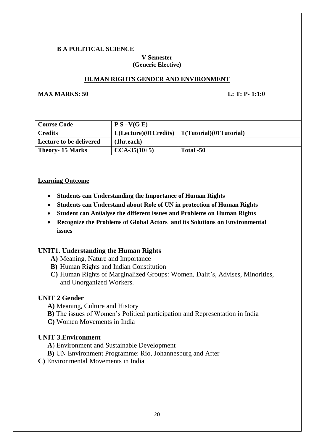#### **B A POLITICAL SCIENCE**

#### **V Semester (Generic Elective)**

#### **HUMAN RIGHTS GENDER AND ENVIRONMENT**

**MAX MARKS: 50 L: T: P- 1:1:0** 

| Course Code             | $P S - V(G E)$       |                                |
|-------------------------|----------------------|--------------------------------|
| Credits                 | L(Leture)(01Credits) | $\mid T(Tutorial)(01Tutorial)$ |
| Lecture to be delivered | (1hr.each)           |                                |
| <b>Theory-15 Marks</b>  | $CCA-35(10+5)$       | Total -50                      |

#### **Learning Outcome**

- **Students can Understanding the Importance of Human Rights**
- **Students can Understand about Role of UN in protection of Human Rights**
- **Student can An0alyse the different issues and Problems on Human Rights**
- **Recognize the Problems of Global Actors and its Solutions on Environmental issues**

#### **UNIT1. Understanding the Human Rights**

- **A)** Meaning, Nature and Importance
- **B)** Human Rights and Indian Constitution
- **C)** Human Rights of Marginalized Groups: Women, Dalit's, Advises, Minorities, and Unorganized Workers.

### **UNIT 2 Gender**

- **A)** Meaning, Culture and History
- **B)** The issues of Women's Political participation and Representation in India
- **C)** Women Movements in India

#### **UNIT 3.Environment**

- **A**) Environment and Sustainable Development
- **B)** UN Environment Programme: Rio, Johannesburg and After
- **C)** Environmental Movements in India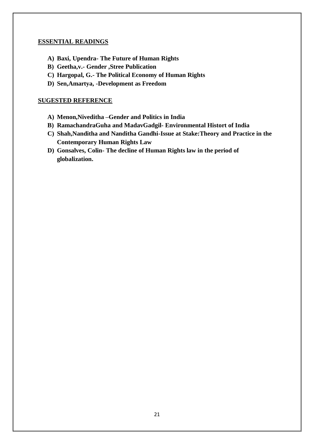- **A) Baxi, Upendra- The Future of Human Rights**
- **B) Geetha,v.- Gender ,Stree Publication**
- **C) Hargopal, G.- The Political Economy of Human Rights**
- **D) Sen,Amartya, -Development as Freedom**

#### **SUGESTED REFERENCE**

- **A) Menon,Niveditha –Gender and Politics in India**
- **B) RamachandraGuha and MadavGadgil- Environmental Histort of India**
- **C) Shah,Nanditha and Nanditha Gandhi-Issue at Stake:Theory and Practice in the Contemporary Human Rights Law**
- **D) Gonsalves, Colin- The decline of Human Rights law in the period of globalization.**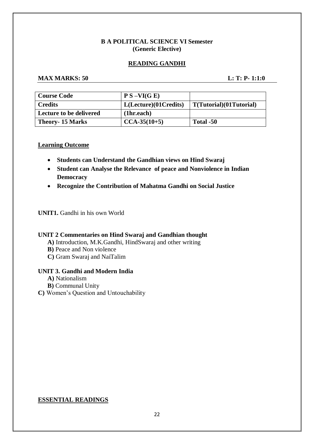#### **B A POLITICAL SCIENCE VI Semester (Generic Elective)**

#### **READING GANDHI**

### **MAX MARKS: 50 L: T: P- 1:1:0**

| <b>Course Code</b>      | $P S - VI(G E)$       |                         |
|-------------------------|-----------------------|-------------------------|
| <b>Credits</b>          | L(Lecture)(01Credits) | T(Tutorial)(01Tutorial) |
| Lecture to be delivered | (1hr.each)            |                         |
| <b>Theory-15 Marks</b>  | $CCA-35(10+5)$        | Total -50               |

#### **Learning Outcome**

- **Students can Understand the Gandhian views on Hind Swaraj**
- **Student can Analyse the Relevance of peace and Nonviolence in Indian Democracy**
- **Recognize the Contribution of Mahatma Gandhi on Social Justice**

#### **UNIT1.** Gandhi in his own World

#### **UNIT 2 Commentaries on Hind Swaraj and Gandhian thought**

- **A)** Introduction, M.K.Gandhi, HindSwaraj and other writing
- **B)** Peace and Non violence
- **C)** Gram Swaraj and NaiTalim

#### **UNIT 3. Gandhi and Modern India**

- **A)** Nationalism
- **B)** Communal Unity

**C)** Women's Question and Untouchability

#### **ESSENTIAL READINGS**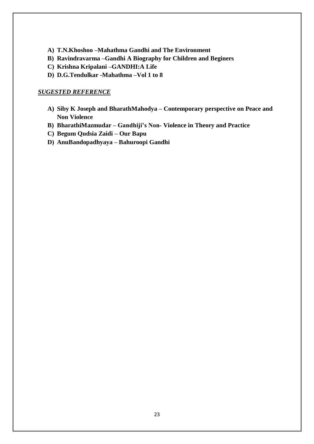- **A) T.N.Khoshoo –Mahathma Gandhi and The Environment**
- **B) Ravindravarma –Gandhi A Biography for Children and Beginers**
- **C) Krishna Kripalani –GANDHI:A Life**
- **D) D.G.Tendulkar -Mahathma –Vol 1 to 8**

#### *SUGESTED REFERENCE*

- **A) Siby K Joseph and BharathMahodya – Contemporary perspective on Peace and Non Violence**
- **B) BharathiMazmudar – Gandhiji's Non- Violence in Theory and Practice**
- **C) Begum Qudsia Zaidi – Our Bapu**
- **D) AnuBandopadhyaya – Bahuroopi Gandhi**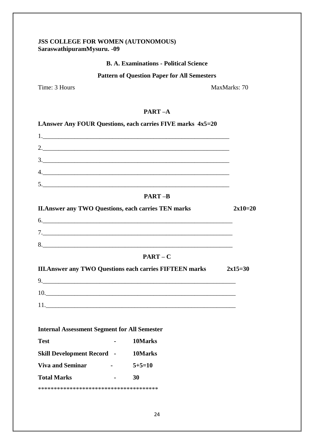### **JSS COLLEGE FOR WOMEN (AUTONOMOUS) SaraswathipuramMysuru. -09**

### **B. A. Examinations - Political Science**

### **Pattern of Question Paper for All Semesters**

Time: 3 Hours MaxMarks: 70

#### **PART –A**

|                                                             |                               | <b>LAnswer Any FOUR Questions, each carries FIVE marks 4x5=20</b> |           |
|-------------------------------------------------------------|-------------------------------|-------------------------------------------------------------------|-----------|
|                                                             |                               |                                                                   |           |
|                                                             |                               |                                                                   |           |
|                                                             |                               | $\frac{3}{2}$                                                     |           |
|                                                             |                               |                                                                   |           |
|                                                             |                               |                                                                   |           |
|                                                             |                               | <b>PART-B</b>                                                     |           |
| <b>II. Answer any TWO Questions, each carries TEN marks</b> |                               |                                                                   | $2x10=20$ |
|                                                             |                               |                                                                   |           |
|                                                             |                               |                                                                   |           |
|                                                             |                               |                                                                   |           |
|                                                             |                               | $PART - C$                                                        |           |
|                                                             |                               | <b>III. Answer any TWO Questions each carries FIFTEEN marks</b>   | $2x15=30$ |
|                                                             |                               |                                                                   |           |
|                                                             |                               | 10.                                                               |           |
|                                                             |                               |                                                                   |           |
|                                                             |                               |                                                                   |           |
| <b>Internal Assessment Segment for All Semester</b>         |                               |                                                                   |           |
| <b>Test</b>                                                 | $\mathbf{z}$ and $\mathbf{z}$ | 10Marks                                                           |           |
| <b>Skill Development Record - 10Marks</b>                   |                               |                                                                   |           |
| <b>Viva and Seminar</b>                                     |                               | $-5+5=10$                                                         |           |
| <b>Total Marks</b>                                          |                               | 30                                                                |           |
|                                                             |                               |                                                                   |           |